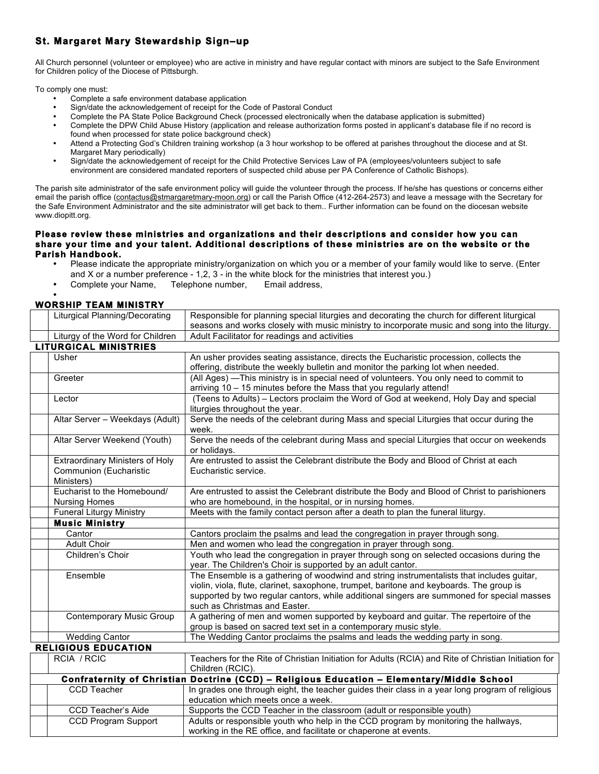## **St. Margaret Mary Stewardship Sign–up**

All Church personnel (volunteer or employee) who are active in ministry and have regular contact with minors are subject to the Safe Environment for Children policy of the Diocese of Pittsburgh.

To comply one must:

- Complete a safe environment database application
- Sign/date the acknowledgement of receipt for the Code of Pastoral Conduct
- Complete the PA State Police Background Check (processed electronically when the database application is submitted)
- Complete the DPW Child Abuse History (application and release authorization forms posted in applicant's database file if no record is found when processed for state police background check)
- Attend a Protecting God's Children training workshop (a 3 hour workshop to be offered at parishes throughout the diocese and at St. Margaret Mary periodically)
- Sign/date the acknowledgement of receipt for the Child Protective Services Law of PA (employees/volunteers subject to safe environment are considered mandated reporters of suspected child abuse per PA Conference of Catholic Bishops).

The parish site administrator of the safe environment policy will guide the volunteer through the process. If he/she has questions or concerns either email the parish office (contactus@stmargaretmary-moon.org) or call the Parish Office (412-264-2573) and leave a message with the Secretary for the Safe Environment Administrator and the site administrator will get back to them.. Further information can be found on the diocesan website www.diopitt.org.

## **Please review these ministries and organizations and their descriptions and consider how you can share your time and your talent. Additional descriptions of these ministries are on the website or the Parish Handbook.**

- Please indicate the appropriate ministry/organization on which you or a member of your family would like to serve. (Enter and X or a number preference - 1,2, 3 - in the white block for the ministries that interest you.)<br>Complete your Name. Telephone number. Email address.
- Complete your Name,

## • **WORSHIP TEAM MINISTRY**

|                              | <b>Liturgical Planning/Decorating</b>                                                      | Responsible for planning special liturgies and decorating the church for different liturgical<br>seasons and works closely with music ministry to incorporate music and song into the liturgy.                                                                                                                       |  |
|------------------------------|--------------------------------------------------------------------------------------------|----------------------------------------------------------------------------------------------------------------------------------------------------------------------------------------------------------------------------------------------------------------------------------------------------------------------|--|
|                              | Liturgy of the Word for Children                                                           | Adult Facilitator for readings and activities                                                                                                                                                                                                                                                                        |  |
| <b>LITURGICAL MINISTRIES</b> |                                                                                            |                                                                                                                                                                                                                                                                                                                      |  |
|                              | Usher                                                                                      | An usher provides seating assistance, directs the Eucharistic procession, collects the<br>offering, distribute the weekly bulletin and monitor the parking lot when needed.                                                                                                                                          |  |
|                              | Greeter                                                                                    | (All Ages) - This ministry is in special need of volunteers. You only need to commit to<br>arriving 10 - 15 minutes before the Mass that you regularly attend!                                                                                                                                                       |  |
|                              | Lector                                                                                     | (Teens to Adults) – Lectors proclaim the Word of God at weekend, Holy Day and special<br>liturgies throughout the year.                                                                                                                                                                                              |  |
|                              | Altar Server - Weekdays (Adult)                                                            | Serve the needs of the celebrant during Mass and special Liturgies that occur during the<br>week.                                                                                                                                                                                                                    |  |
|                              | Altar Server Weekend (Youth)                                                               | Serve the needs of the celebrant during Mass and special Liturgies that occur on weekends<br>or holidays.                                                                                                                                                                                                            |  |
|                              | <b>Extraordinary Ministers of Holy</b><br>Communion (Eucharistic<br>Ministers)             | Are entrusted to assist the Celebrant distribute the Body and Blood of Christ at each<br>Eucharistic service.                                                                                                                                                                                                        |  |
|                              | Eucharist to the Homebound/<br><b>Nursing Homes</b>                                        | Are entrusted to assist the Celebrant distribute the Body and Blood of Christ to parishioners<br>who are homebound, in the hospital, or in nursing homes.                                                                                                                                                            |  |
|                              | <b>Funeral Liturgy Ministry</b>                                                            | Meets with the family contact person after a death to plan the funeral liturgy.                                                                                                                                                                                                                                      |  |
|                              | <b>Music Ministry</b>                                                                      |                                                                                                                                                                                                                                                                                                                      |  |
|                              | Cantor                                                                                     | Cantors proclaim the psalms and lead the congregation in prayer through song.                                                                                                                                                                                                                                        |  |
|                              | <b>Adult Choir</b>                                                                         | Men and women who lead the congregation in prayer through song.                                                                                                                                                                                                                                                      |  |
|                              | Children's Choir                                                                           | Youth who lead the congregation in prayer through song on selected occasions during the<br>year. The Children's Choir is supported by an adult cantor.                                                                                                                                                               |  |
|                              | Ensemble                                                                                   | The Ensemble is a gathering of woodwind and string instrumentalists that includes guitar,<br>violin, viola, flute, clarinet, saxophone, trumpet, baritone and keyboards. The group is<br>supported by two regular cantors, while additional singers are summoned for special masses<br>such as Christmas and Easter. |  |
|                              | <b>Contemporary Music Group</b>                                                            | A gathering of men and women supported by keyboard and guitar. The repertoire of the<br>group is based on sacred text set in a contemporary music style.                                                                                                                                                             |  |
|                              | <b>Wedding Cantor</b>                                                                      | The Wedding Cantor proclaims the psalms and leads the wedding party in song.                                                                                                                                                                                                                                         |  |
| <b>RELIGIOUS EDUCATION</b>   |                                                                                            |                                                                                                                                                                                                                                                                                                                      |  |
|                              | <b>RCIA / RCIC</b>                                                                         | Teachers for the Rite of Christian Initiation for Adults (RCIA) and Rite of Christian Initiation for<br>Children (RCIC).                                                                                                                                                                                             |  |
|                              | Confraternity of Christian Doctrine (CCD) - Religious Education - Elementary/Middle School |                                                                                                                                                                                                                                                                                                                      |  |
|                              | <b>CCD Teacher</b>                                                                         | In grades one through eight, the teacher guides their class in a year long program of religious<br>education which meets once a week.                                                                                                                                                                                |  |
|                              | CCD Teacher's Aide                                                                         | Supports the CCD Teacher in the classroom (adult or responsible youth)                                                                                                                                                                                                                                               |  |
|                              | CCD Program Support                                                                        | Adults or responsible youth who help in the CCD program by monitoring the hallways,<br>working in the RE office, and facilitate or chaperone at events.                                                                                                                                                              |  |